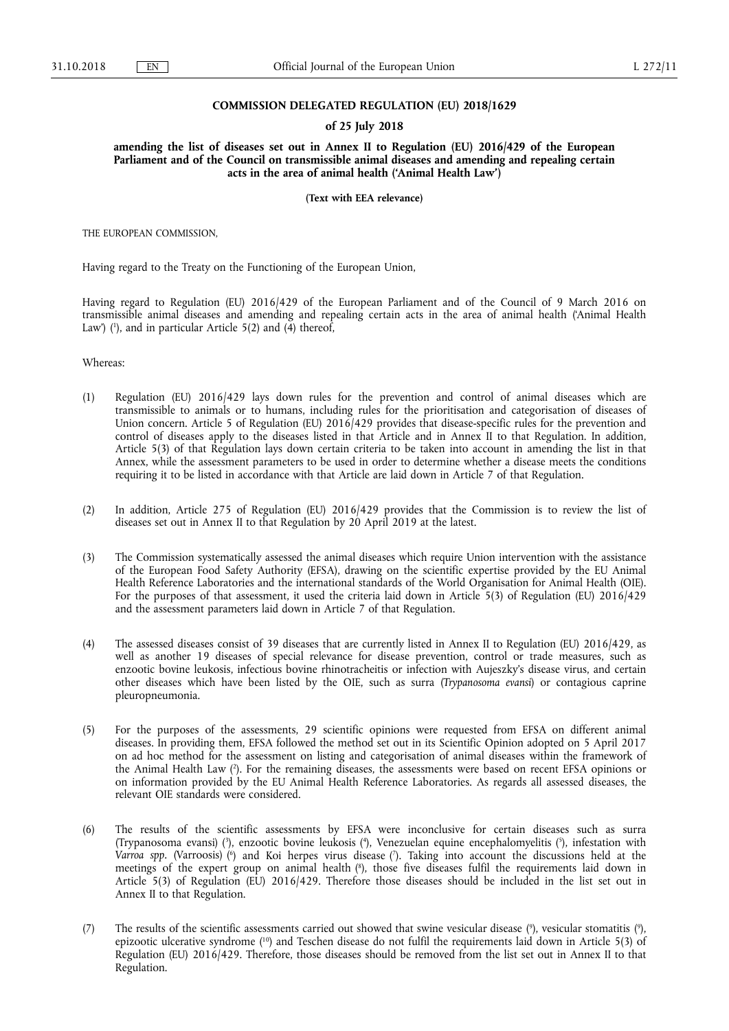### **COMMISSION DELEGATED REGULATION (EU) 2018/1629**

#### **of 25 July 2018**

**amending the list of diseases set out in Annex II to Regulation (EU) 2016/429 of the European Parliament and of the Council on transmissible animal diseases and amending and repealing certain acts in the area of animal health ('Animal Health Law')** 

**(Text with EEA relevance)** 

THE EUROPEAN COMMISSION,

Having regard to the Treaty on the Functioning of the European Union,

Having regard to Regulation (EU) 2016/429 of the European Parliament and of the Council of 9 March 2016 on transmissible animal diseases and amending and repealing certain acts in the area of animal health ('Animal Health Law') (<sup>1</sup>), and in particular Article 5(2) and (4) thereof,

Whereas:

- (1) Regulation (EU) 2016/429 lays down rules for the prevention and control of animal diseases which are transmissible to animals or to humans, including rules for the prioritisation and categorisation of diseases of Union concern. Article 5 of Regulation (EU)  $2016/429$  provides that disease-specific rules for the prevention and control of diseases apply to the diseases listed in that Article and in Annex II to that Regulation. In addition, Article 5(3) of that Regulation lays down certain criteria to be taken into account in amending the list in that Annex, while the assessment parameters to be used in order to determine whether a disease meets the conditions requiring it to be listed in accordance with that Article are laid down in Article 7 of that Regulation.
- (2) In addition, Article 275 of Regulation (EU) 2016/429 provides that the Commission is to review the list of diseases set out in Annex II to that Regulation by 20 April 2019 at the latest.
- (3) The Commission systematically assessed the animal diseases which require Union intervention with the assistance of the European Food Safety Authority (EFSA), drawing on the scientific expertise provided by the EU Animal Health Reference Laboratories and the international standards of the World Organisation for Animal Health (OIE). For the purposes of that assessment, it used the criteria laid down in Article 5(3) of Regulation (EU) 2016/429 and the assessment parameters laid down in Article 7 of that Regulation.
- (4) The assessed diseases consist of 39 diseases that are currently listed in Annex II to Regulation (EU) 2016/429, as well as another 19 diseases of special relevance for disease prevention, control or trade measures, such as enzootic bovine leukosis, infectious bovine rhinotracheitis or infection with Aujeszky's disease virus, and certain other diseases which have been listed by the OIE, such as surra (*Trypanosoma evansi*) or contagious caprine pleuropneumonia.
- (5) For the purposes of the assessments, 29 scientific opinions were requested from EFSA on different animal diseases. In providing them, EFSA followed the method set out in its Scientific Opinion adopted on 5 April 2017 on ad hoc method for the assessment on listing and categorisation of animal diseases within the framework of the Animal Health Law ( 2 ). For the remaining diseases, the assessments were based on recent EFSA opinions or on information provided by the EU Animal Health Reference Laboratories. As regards all assessed diseases, the relevant OIE standards were considered.
- (6) The results of the scientific assessments by EFSA were inconclusive for certain diseases such as surra (Trypanosoma evansi) ( 3 ), enzootic bovine leukosis ( 4 ), Venezuelan equine encephalomyelitis ( 5 ), infestation with Varroa spp. (Varroosis) (<sup>6</sup>) and Koi herpes virus disease (<sup>7</sup>). Taking into account the discussions held at the meetings of the expert group on animal health ( 8 ), those five diseases fulfil the requirements laid down in Article 5(3) of Regulation (EU) 2016/429. Therefore those diseases should be included in the list set out in Annex II to that Regulation.
- (7) The results of the scientific assessments carried out showed that swine vesicular disease (°), vesicular stomatitis (°), epizootic ulcerative syndrome ( 10) and Teschen disease do not fulfil the requirements laid down in Article 5(3) of Regulation (EU) 2016/429. Therefore, those diseases should be removed from the list set out in Annex II to that Regulation.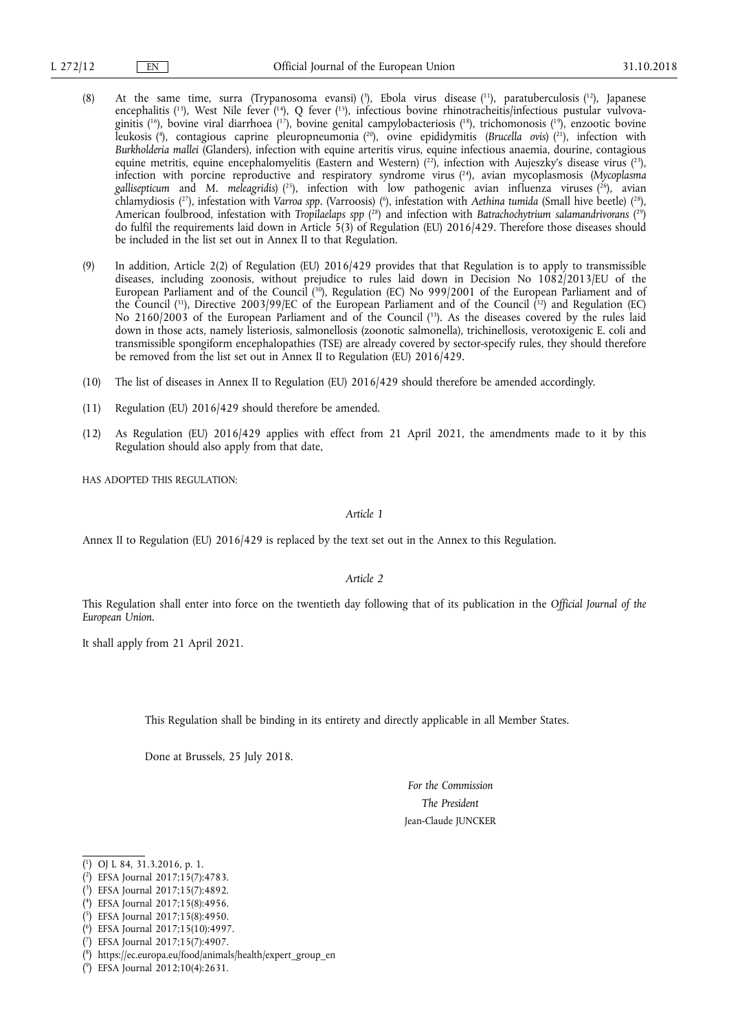- (8) At the same time, surra (Trypanosoma evansi) ( 3 ), Ebola virus disease ( 11), paratuberculosis ( 12), Japanese encephalitis (<sup>13</sup>), West Nile fever (<sup>14</sup>), Q fever (<sup>15</sup>), infectious bovine rhinotracheitis/infectious pustular vulvovaginitis (<sup>16</sup>), bovine viral diarrhoea (<sup>17</sup>), bovine genital campylobacteriosis (<sup>18</sup>), trichomonosis (<sup>19</sup>), enzootic bovine leukosis ( 4 ), contagious caprine pleuropneumonia ( 20), ovine epididymitis (*Brucella ovis*) ( 21), infection with *Burkholderia mallei* (Glanders), infection with equine arteritis virus, equine infectious anaemia, dourine, contagious equine metritis, equine encephalomyelitis (Eastern and Western)  $(^{22})$ , infection with Aujeszky's disease virus  $(^{23})$ , infection with porcine reproductive and respiratory syndrome virus ( 24), avian mycoplasmosis (*Mycoplasma gallisepticum* and *M. meleagridis*) ( 25), infection with low pathogenic avian influenza viruses ( 26), avian chlamydiosis (<sup>27</sup>), infestation with *Varroa spp.* (Varroosis) (<sup>6</sup>), infestation with *Aethina tumida* (Small hive beetle) (<sup>28</sup>), American foulbrood, infestation with *Tropilaelaps spp* ( 28) and infection with *Batrachochytrium salamandrivorans* ( 29) do fulfil the requirements laid down in Article  $\bar{5}(3)$  of Regulation (EU) 2016/429. Therefore those diseases should be included in the list set out in Annex II to that Regulation.
- (9) In addition, Article 2(2) of Regulation (EU) 2016/429 provides that that Regulation is to apply to transmissible diseases, including zoonosis, without prejudice to rules laid down in Decision No 1082/2013/EU of the European Parliament and of the Council ( 30), Regulation (EC) No 999/2001 of the European Parliament and of the Council (31), Directive 2003/99/EC of the European Parliament and of the Council (32) and Regulation (EC) No 2160/2003 of the European Parliament and of the Council ( 33). As the diseases covered by the rules laid down in those acts, namely listeriosis, salmonellosis (zoonotic salmonella), trichinellosis, verotoxigenic E. coli and transmissible spongiform encephalopathies (TSE) are already covered by sector-specify rules, they should therefore be removed from the list set out in Annex II to Regulation (EU) 2016/429.
- (10) The list of diseases in Annex II to Regulation (EU) 2016/429 should therefore be amended accordingly.
- (11) Regulation (EU) 2016/429 should therefore be amended.
- (12) As Regulation (EU) 2016/429 applies with effect from 21 April 2021, the amendments made to it by this Regulation should also apply from that date,

HAS ADOPTED THIS REGULATION:

*Article 1* 

Annex II to Regulation (EU) 2016/429 is replaced by the text set out in the Annex to this Regulation.

*Article 2* 

This Regulation shall enter into force on the twentieth day following that of its publication in the *Official Journal of the European Union*.

It shall apply from 21 April 2021.

This Regulation shall be binding in its entirety and directly applicable in all Member States.

Done at Brussels, 25 July 2018.

*For the Commission The President*  Jean-Claude JUNCKER

<sup>(</sup> 1 ) OJ L 84, 31.3.2016, p. 1.

<sup>(</sup> 2 ) EFSA Journal 2017;15(7):4783.

<sup>(</sup> 3 ) EFSA Journal 2017;15(7):4892.

<sup>(</sup> 4 ) EFSA Journal 2017;15(8):4956.

<sup>(</sup> 5 ) EFSA Journal 2017;15(8):4950.

<sup>(</sup> 6 ) EFSA Journal 2017;15(10):4997.

<sup>(</sup> 7 ) EFSA Journal 2017;15(7):4907.

<sup>(</sup> 8 ) https://ec.europa.eu/food/animals/health/expert\_group\_en

<sup>(</sup> 9 ) EFSA Journal 2012;10(4):2631.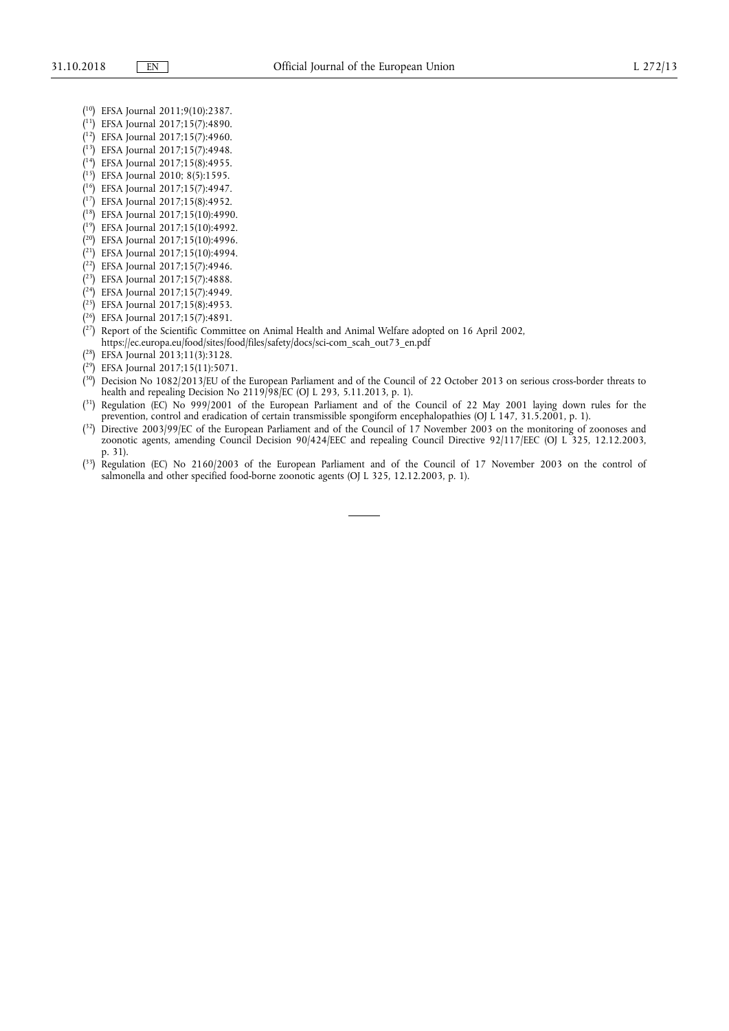- ( 10) EFSA Journal 2011;9(10):2387.
- ( 11) EFSA Journal 2017;15(7):4890.
- ( 12) EFSA Journal 2017;15(7):4960.
- ( 13) EFSA Journal 2017;15(7):4948.
- ( 14) EFSA Journal 2017;15(8):4955.
- ( 15) EFSA Journal 2010; 8(5):1595.
- ( 16) EFSA Journal 2017;15(7):4947.
- ( 17) EFSA Journal 2017;15(8):4952.
- ( 18) EFSA Journal 2017;15(10):4990.
- ( 19) EFSA Journal 2017;15(10):4992.
- ( 20) EFSA Journal 2017;15(10):4996.
- ( 21) EFSA Journal 2017;15(10):4994.
- ( 22) EFSA Journal 2017;15(7):4946.
- ( 23) EFSA Journal 2017;15(7):4888.
- ( 24) EFSA Journal 2017;15(7):4949.
- ( 25) EFSA Journal 2017;15(8):4953.
- ( 26) EFSA Journal 2017;15(7):4891.
- $(2^7)$  Report of the Scientific Committee on Animal Health and Animal Welfare adopted on 16 April 2002, https://ec.europa.eu/food/sites/food/files/safety/docs/sci-com\_scah\_out73\_en.pdf
- ( 28) EFSA Journal 2013;11(3):3128.
- ( 29) EFSA Journal 2017;15(11):5071.
- <sup>{30}</sup> Decision No 1082/2013/EU of the European Parliament and of the Council of 22 October 2013 on serious cross-border threats to health and repealing Decision No 2119/98/EC (OJ L 293, 5.11.2013, p. 1).
- <sup>{31}</sup> Regulation (EC) No 999/2001 of the European Parliament and of the Council of 22 May 2001 laying down rules for the prevention, control and eradication of certain transmissible spongiform encephalopathies (OJ L 147, 31.5.2001, p. 1).
- $(3<sup>2</sup>)$  Directive 2003/99/EC of the European Parliament and of the Council of 17 November 2003 on the monitoring of zoonoses and zoonotic agents, amending Council Decision 90/424/EEC and repealing Council Directive 92/117/EEC (OJ L 325, 12.12.2003, p. 31).
- ( 33) Regulation (EC) No 2160/2003 of the European Parliament and of the Council of 17 November 2003 on the control of salmonella and other specified food-borne zoonotic agents (OJ L 325, 12.12.2003, p. 1).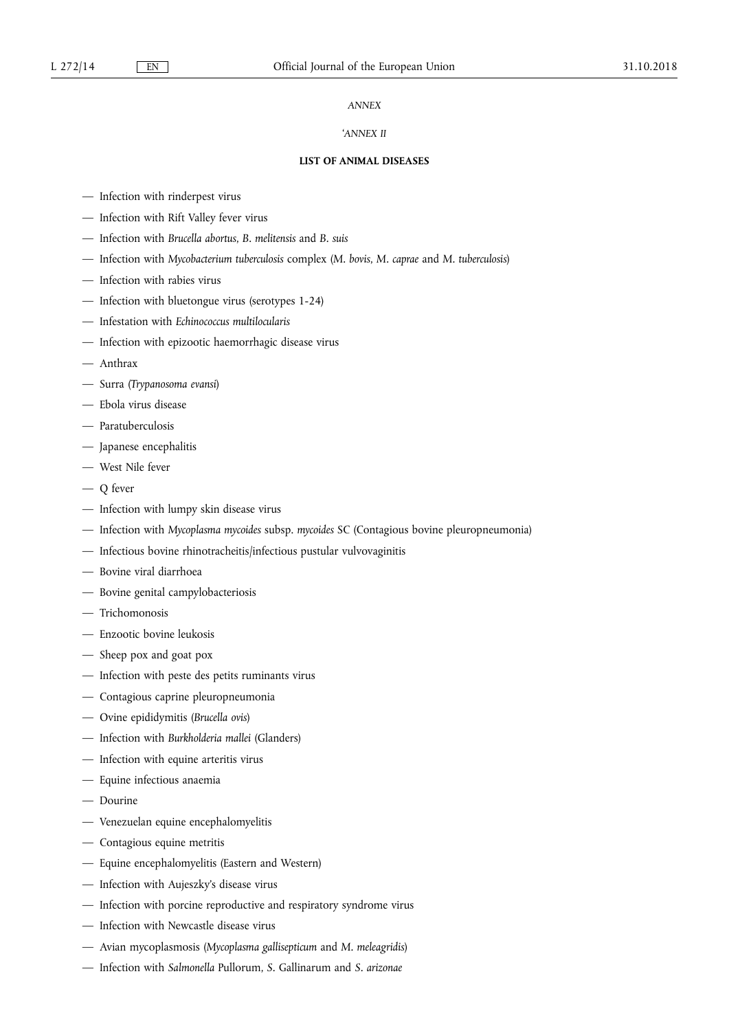# *ANNEX*

## '*ANNEX II*

### **LIST OF ANIMAL DISEASES**

- Infection with rinderpest virus
- Infection with Rift Valley fever virus
- Infection with *Brucella abortus*, *B. melitensis* and *B. suis*
- Infection with *Mycobacterium tuberculosis* complex (*M. bovis*, *M. caprae* and *M. tuberculosis*)
- Infection with rabies virus
- Infection with bluetongue virus (serotypes 1-24)
- Infestation with *Echinococcus multilocularis*
- Infection with epizootic haemorrhagic disease virus
- Anthrax
- Surra (*Trypanosoma evansi*)
- Ebola virus disease
- Paratuberculosis
- Japanese encephalitis
- West Nile fever
- Q fever
- Infection with lumpy skin disease virus
- Infection with *Mycoplasma mycoides* subsp. *mycoides* SC (Contagious bovine pleuropneumonia)
- Infectious bovine rhinotracheitis/infectious pustular vulvovaginitis
- Bovine viral diarrhoea
- Bovine genital campylobacteriosis
- Trichomonosis
- Enzootic bovine leukosis
- Sheep pox and goat pox
- Infection with peste des petits ruminants virus
- Contagious caprine pleuropneumonia
- Ovine epididymitis (*Brucella ovis*)
- Infection with *Burkholderia mallei* (Glanders)
- Infection with equine arteritis virus
- Equine infectious anaemia
- Dourine
- Venezuelan equine encephalomyelitis
- Contagious equine metritis
- Equine encephalomyelitis (Eastern and Western)
- Infection with Aujeszky's disease virus
- Infection with porcine reproductive and respiratory syndrome virus
- Infection with Newcastle disease virus
- Avian mycoplasmosis (*Mycoplasma gallisepticum* and *M. meleagridis*)
- Infection with *Salmonella* Pullorum, *S.* Gallinarum and *S. arizonae*